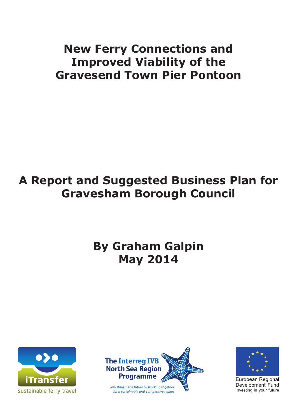# **New Ferry Connections and Improved Viability of the Gravesend Town Pier Pontoon**

# **A Report and Suggested Business Plan for Gravesham Borough Council**

# **By Graham Galpin May 2014**







**European Regional** Development Fund Investing in your future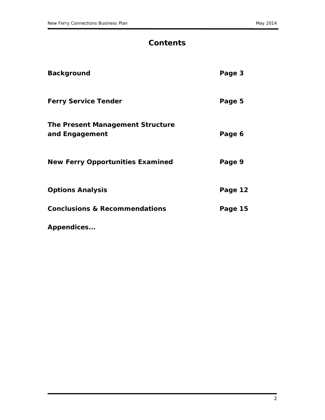# **Contents**

| <b>Background</b>                                         | Page 3  |
|-----------------------------------------------------------|---------|
| <b>Ferry Service Tender</b>                               | Page 5  |
| <b>The Present Management Structure</b><br>and Engagement | Page 6  |
| <b>New Ferry Opportunities Examined</b>                   | Page 9  |
| <b>Options Analysis</b>                                   | Page 12 |
| <b>Conclusions &amp; Recommendations</b>                  | Page 15 |
| Appendices                                                |         |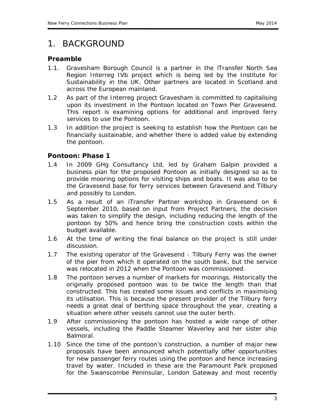### *1. BACKGROUND*

#### *Preamble*

- 1.1. Gravesham Borough Council is a partner in the iTransfer North Sea Region Interreg IVb project which is being led by the Institute for Sustainability in the UK. Other partners are located in Scotland and across the European mainland.
- 1.2 As part of the Interreg project Gravesham is committed to capitalising upon its investment in the Pontoon located on Town Pier Gravesend. This report is examining options for additional and improved ferry services to use the Pontoon.
- 1.3 In addition the project is seeking to establish how the Pontoon can be financially sustainable, and whether there is added value by extending the pontoon.

### *Pontoon: Phase 1*

- 1.4 In 2009 GHg Consultancy Ltd, led by Graham Galpin provided a business plan for the proposed Pontoon as initially designed so as to provide mooring options for visiting ships and boats. It was also to be the Gravesend base for ferry services between Gravesend and Tilbury and possibly to London.
- 1.5 As a result of an iTransfer Partner workshop in Gravesend on 6 September 2010, based on input from Project Partners, the decision was taken to simplify the design, including reducing the length of the pontoon by 50% and hence bring the construction costs within the budget available.
- 1.6 At the time of writing the final balance on the project is still under discussion.
- 1.7 The existing operator of the Gravesend Tilbury Ferry was the owner of the pier from which it operated on the south bank, but the service was relocated in 2012 when the Pontoon was commissioned.
- 1.8 The pontoon serves a number of markets for moorings. Historically the originally proposed pontoon was to be twice the length than that constructed. This has created some issues and conflicts in maximising its utilisation. This is because the present provider of the Tilbury ferry needs a great deal of berthing space throughout the year, creating a situation where other vessels cannot use the outer berth.
- 1.9 After commissioning the pontoon has hosted a wide range of other vessels, including the Paddle Steamer Waverley and her sister ship Balmoral.
- 1.10 Since the time of the pontoon's construction, a number of major new proposals have been announced which potentially offer opportunities for new passenger ferry routes using the pontoon and hence increasing travel by water. Included in these are the Paramount Park proposed for the Swanscombe Peninsular, London Gateway and most recently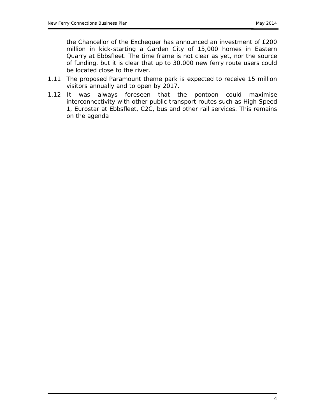the Chancellor of the Exchequer has announced an investment of £200 million in kick-starting a Garden City of 15,000 homes in Eastern Quarry at Ebbsfleet. The time frame is not clear as yet, nor the source of funding, but it is clear that up to 30,000 new ferry route users could be located close to the river.

- 1.11 The proposed Paramount theme park is expected to receive 15 million visitors annually and to open by 2017.
- 1.12 It was always foreseen that the pontoon could maximise interconnectivity with other public transport routes such as High Speed 1, Eurostar at Ebbsfleet, C2C, bus and other rail services. This remains on the agenda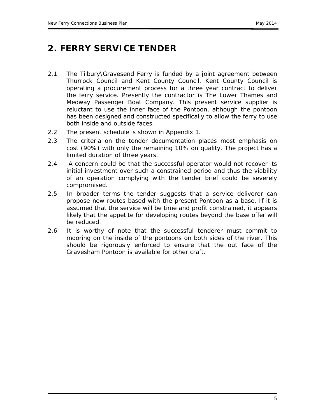# **2. FERRY SERVICE TENDER**

- 2.1 The Tilbury\Gravesend Ferry is funded by a joint agreement between Thurrock Council and Kent County Council. Kent County Council is operating a procurement process for a three year contract to deliver the ferry service. Presently the contractor is The Lower Thames and Medway Passenger Boat Company. This present service supplier is reluctant to use the inner face of the Pontoon, although the pontoon has been designed and constructed specifically to allow the ferry to use both inside and outside faces.
- 2.2 The present schedule is shown in Appendix 1.
- 2.3 The criteria on the tender documentation places most emphasis on cost (90%) with only the remaining 10% on quality. The project has a limited duration of three years.
- 2.4 A concern could be that the successful operator would not recover its initial investment over such a constrained period and thus the viability of an operation complying with the tender brief could be severely compromised.
- 2.5 In broader terms the tender suggests that a service deliverer can propose new routes based with the present Pontoon as a base. If it is assumed that the service will be time and profit constrained, it appears likely that the appetite for developing routes beyond the base offer will be reduced.
- 2.6 It is worthy of note that the successful tenderer must commit to mooring on the inside of the pontoons on both sides of the river. This should be rigorously enforced to ensure that the out face of the Gravesham Pontoon is available for other craft.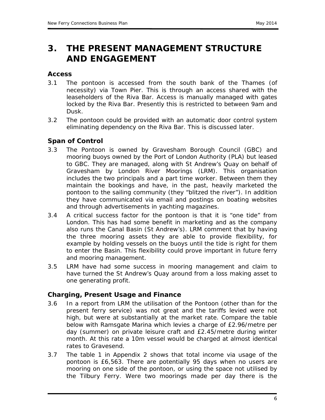# **3. THE PRESENT MANAGEMENT STRUCTURE AND ENGAGEMENT**

#### *Access*

- 3.1 The pontoon is accessed from the south bank of the Thames (of necessity) via Town Pier. This is through an access shared with the leaseholders of the Riva Bar. Access is manually managed with gates locked by the Riva Bar. Presently this is restricted to between 9am and Dusk.
- 3.2 The pontoon could be provided with an automatic door control system eliminating dependency on the Riva Bar. This is discussed later.

#### *Span of Control*

- 3.3 The Pontoon is owned by Gravesham Borough Council (GBC) and mooring buoys owned by the Port of London Authority (PLA) but leased to GBC. They are managed, along with St Andrew's Quay on behalf of Gravesham by London River Moorings (LRM). This organisation includes the two principals and a part time worker. Between them they maintain the bookings and have, in the past, heavily marketed the pontoon to the sailing community (they "blitzed the river"). In addition they have communicated via email and postings on boating websites and through advertisements in yachting magazines.
- 3.4 A critical success factor for the pontoon is that it is "one tide" from London. This has had some benefit in marketing and as the company also runs the Canal Basin (St Andrew's). LRM comment that by having the three mooring assets they are able to provide flexibility, for example by holding vessels on the buoys until the tide is right for them to enter the Basin. This flexibility could prove important in future ferry and mooring management.
- 3.5 LRM have had some success in mooring management and claim to have turned the St Andrew's Quay around from a loss making asset to one generating profit.

#### *Charging, Present Usage and Finance*

- 3.6 In a report from LRM the utilisation of the Pontoon (other than for the present ferry service) was not great and the tariffs levied were not high, but were at substantially at the market rate. Compare the table below with Ramsgate Marina which levies a charge of £2.96/metre per day (summer) on private leisure craft and £2.45/metre during winter month. At this rate a 10m vessel would be charged at almost identical rates to Gravesend.
- 3.7 The table 1 in Appendix 2 shows that total income via usage of the pontoon is £6,563. There are potentially 95 days when no users are mooring on one side of the pontoon, or using the space not utilised by the Tilbury Ferry. Were two moorings made per day there is the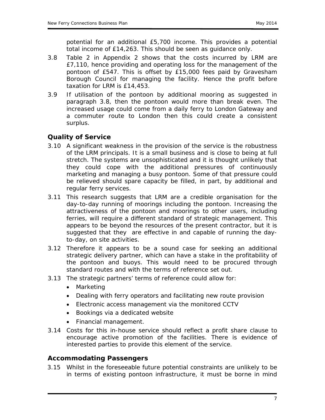potential for an additional £5,700 income. This provides a potential total income of £14,263. This should be seen as guidance only.

- 3.8 Table 2 in Appendix 2 shows that the costs incurred by LRM are £7,110, hence providing and operating loss for the management of the pontoon of £547. This is offset by £15,000 fees paid by Gravesham Borough Council for managing the facility. Hence the profit before taxation for LRM is £14,453.
- 3.9 If utilisation of the pontoon by additional mooring as suggested in paragraph 3.8, then the pontoon would more than break even. The increased usage could come from a daily ferry to London Gateway and a commuter route to London then this could create a consistent surplus.

### *Quality of Service*

- 3.10 A significant weakness in the provision of the service is the robustness of the LRM principals. It is a small business and is close to being at full stretch. The systems are unsophisticated and it is thought unlikely that they could cope with the additional pressures of continuously marketing and managing a busy pontoon. Some of that pressure could be relieved should spare capacity be filled, in part, by additional and regular ferry services.
- 3.11 This research suggests that LRM are a credible organisation for the day-to-day running of moorings including the pontoon. Increasing the attractiveness of the pontoon and moorings to other users, including ferries, will require a different standard of strategic management. This appears to be beyond the resources of the present contractor, but it is suggested that they are effective in and capable of running the dayto-day, on site activities.
- 3.12 Therefore it appears to be a sound case for seeking an additional strategic delivery partner, which can have a stake in the profitability of the pontoon and buoys. This would need to be procured through standard routes and with the terms of reference set out.
- 3.13 The strategic partners' terms of reference could allow for:
	- Marketing
	- Dealing with ferry operators and facilitating new route provision
	- Electronic access management via the monitored CCTV
	- Bookings via a dedicated website
	- Financial management.
- 3.14 Costs for this in-house service should reflect a profit share clause to encourage active promotion of the facilities. There is evidence of interested parties to provide this element of the service.

#### *Accommodating Passengers*

3.15 Whilst in the foreseeable future potential constraints are unlikely to be in terms of existing pontoon infrastructure, it must be borne in mind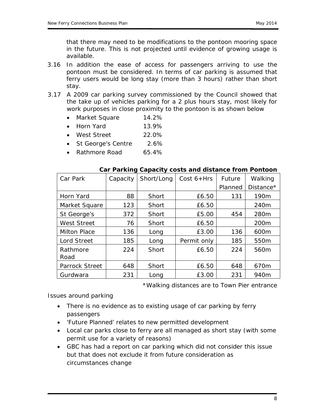that there may need to be modifications to the pontoon mooring space in the future. This is not projected until evidence of growing usage is available.

- 3.16 In addition the ease of access for passengers arriving to use the pontoon must be considered. In terms of car parking is assumed that ferry users would be long stay (more than 3 hours) rather than short stay.
- 3.17 A 2009 car parking survey commissioned by the Council showed that the take up of vehicles parking for a 2 plus hours stay, most likely for work purposes in close proximity to the pontoon is as shown below
	- Market Square 14.2%
	- Horn Yard 13.9%
	- West Street 22.0%
	- St George's Centre 2.6%
	- Rathmore Road 65.4%

| Car Park              | Capacity | Short/Long | Cost $6+Hrs$ | Future  | Walking          |
|-----------------------|----------|------------|--------------|---------|------------------|
|                       |          |            |              | Planned | Distance*        |
| Horn Yard             | 88       | Short      | £6.50        | 131     | 190 <sub>m</sub> |
| Market Square         | 123      | Short      | £6.50        |         | 240m             |
| St George's           | 372      | Short      | £5.00        | 454     | 280m             |
| <b>West Street</b>    | 76       | Short      | £6.50        |         | 200 <sub>m</sub> |
| <b>Milton Place</b>   | 136      | Long       | £3.00        | 136     | 600m             |
| <b>Lord Street</b>    | 185      | Long       | Permit only  | 185     | 550m             |
| Rathmore<br>Road      | 224      | Short      | £6.50        | 224     | 560m             |
| <b>Parrock Street</b> | 648      | Short      | £6.50        | 648     | 670 <sub>m</sub> |
| Gurdwara              | 231      | Long       | £3.00        | 231     | 940 <sub>m</sub> |

#### **Car Parking Capacity costs and distance from Pontoon**

\*Walking distances are to Town Pier entrance

*Issues around parking*

- There is no evidence as to existing usage of car parking by ferry passengers
- 'Future Planned' relates to new permitted development
- Local car parks close to ferry are all managed as short stay (with some permit use for a variety of reasons)
- GBC has had a report on car parking which did not consider this issue but that does not exclude it from future consideration as circumstances change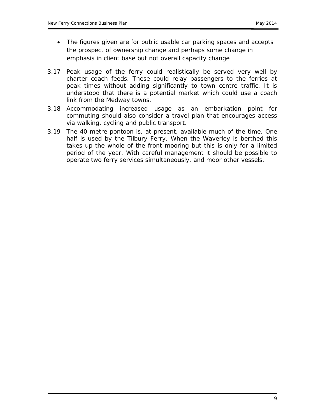- The figures given are for public usable car parking spaces and accepts the prospect of ownership change and perhaps some change in emphasis in client base but not overall capacity change
- 3.17 Peak usage of the ferry could realistically be served very well by charter coach feeds. These could relay passengers to the ferries at peak times without adding significantly to town centre traffic. It is understood that there is a potential market which could use a coach link from the Medway towns.
- 3.18 Accommodating increased usage as an embarkation point for commuting should also consider a travel plan that encourages access via walking, cycling and public transport.
- 3.19 The 40 metre pontoon is, at present, available much of the time. One half is used by the Tilbury Ferry. When the Waverley is berthed this takes up the whole of the front mooring but this is only for a limited period of the year. With careful management it should be possible to operate two ferry services simultaneously, and moor other vessels.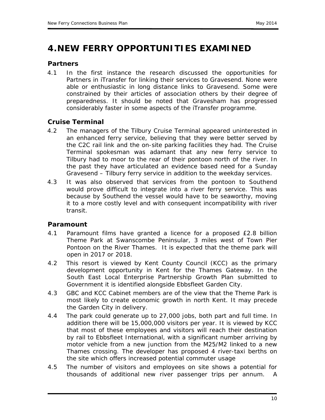# **4.NEW FERRY OPPORTUNITIES EXAMINED**

#### *Partners*

4.1 In the first instance the research discussed the opportunities for Partners in iTransfer for linking their services to Gravesend. None were able or enthusiastic in long distance links to Gravesend. Some were constrained by their articles of association others by their degree of preparedness. It should be noted that Gravesham has progressed considerably faster in some aspects of the iTransfer programme.

### *Cruise Terminal*

- 4.2 The managers of the Tilbury Cruise Terminal appeared uninterested in an enhanced ferry service, believing that they were better served by the C2C rail link and the on-site parking facilities they had. The Cruise Terminal spokesman was adamant that any new ferry service to Tilbury had to moor to the rear of their pontoon north of the river. In the past they have articulated an evidence based need for a Sunday Gravesend – Tilbury ferry service in addition to the weekday services.
- 4.3 It was also observed that services from the pontoon to Southend would prove difficult to integrate into a river ferry service. This was because by Southend the vessel would have to be seaworthy, moving it to a more costly level and with consequent incompatibility with river transit.

### *Paramount*

- 4.1 Paramount films have granted a licence for a proposed £2.8 billion Theme Park at Swanscombe Peninsular, 3 miles west of Town Pier Pontoon on the River Thames. It is expected that the theme park will open in 2017 or 2018.
- 4.2 This resort is viewed by Kent County Council (KCC) as the primary development opportunity in Kent for the Thames Gateway. In the South East Local Enterprise Partnership Growth Plan submitted to Government it is identified alongside Ebbsfleet Garden City.
- 4.3 GBC and KCC Cabinet members are of the view that the Theme Park is most likely to create economic growth in north Kent. It may precede the Garden City in delivery.
- 4.4 The park could generate up to 27,000 jobs, both part and full time. In addition there will be 15,000,000 visitors per year. It is viewed by KCC that most of these employees and visitors will reach their destination by rail to Ebbsfleet International, with a significant number arriving by motor vehicle from a new junction from the M25/M2 linked to a new Thames crossing. The developer has proposed 4 river-taxi berths on the site which offers increased potential commuter usage
- 4.5 The number of visitors and employees on site shows a potential for thousands of additional new river passenger trips per annum. A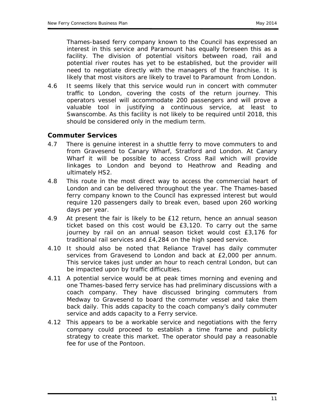Thames-based ferry company known to the Council has expressed an interest in this service and Paramount has equally foreseen this as a facility. The division of potential visitors between road, rail and potential river routes has yet to be established, but the provider will need to negotiate directly with the managers of the franchise. It is likely that most visitors are likely to travel to Paramount from London.

4.6 It seems likely that this service would run in concert with commuter traffic to London, covering the costs of the return journey. This operators vessel will accommodate 200 passengers and will prove a valuable tool in justifying a continuous service, at least to Swanscombe. As this facility is not likely to be required until 2018, this should be considered only in the medium term.

#### *Commuter Services*

- 4.7 There is genuine interest in a shuttle ferry to move commuters to and from Gravesend to Canary Wharf, Stratford and London. At Canary Wharf it will be possible to access Cross Rail which will provide linkages to London and beyond to Heathrow and Reading and ultimately HS2.
- 4.8 This route in the most direct way to access the commercial heart of London and can be delivered throughout the year. The Thames-based ferry company known to the Council has expressed interest but would require 120 passengers daily to break even, based upon 260 working days per year.
- 4.9 At present the fair is likely to be £12 return, hence an annual season ticket based on this cost would be £3,120. To carry out the same journey by rail on an annual season ticket would cost £3,176 for traditional rail services and £4,284 on the high speed service.
- 4.10 It should also be noted that Reliance Travel has daily commuter services from Gravesend to London and back at £2,000 per annum. This service takes just under an hour to reach central London, but can be impacted upon by traffic difficulties.
- 4.11 A potential service would be at peak times morning and evening and one Thames-based ferry service has had preliminary discussions with a coach company. They have discussed bringing commuters from Medway to Gravesend to board the commuter vessel and take them back daily. This adds capacity to the coach company's daily commuter service and adds capacity to a Ferry service.
- 4.12 This appears to be a workable service and negotiations with the ferry company could proceed to establish a time frame and publicity strategy to create this market. The operator should pay a reasonable fee for use of the Pontoon.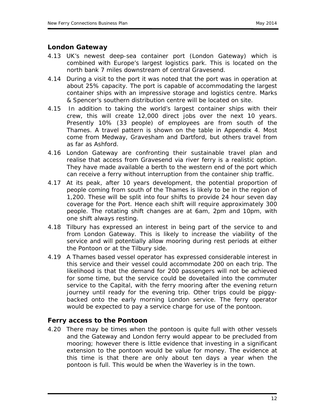#### *London Gateway*

- 4.13 UK's newest deep-sea container port (London Gateway) which is combined with Europe's largest logistics park. This is located on the north bank 7 miles downstream of central Gravesend.
- 4.14 During a visit to the port it was noted that the port was in operation at about 25% capacity. The port is capable of accommodating the largest container ships with an impressive storage and logistics centre. Marks & Spencer's southern distribution centre will be located on site.
- 4.15 In addition to taking the world's largest container ships with their crew, this will create 12,000 direct jobs over the next 10 years. Presently 10% (33 people) of employees are from south of the Thames. A travel pattern is shown on the table in Appendix 4. Most come from Medway, Gravesham and Dartford, but others travel from as far as Ashford.
- 4.16 London Gateway are confronting their sustainable travel plan and realise that access from Gravesend via river ferry is a realistic option. They have made available a berth to the western end of the port which can receive a ferry without interruption from the container ship traffic.
- 4.17 At its peak, after 10 years development, the potential proportion of people coming from south of the Thames is likely to be in the region of 1,200. These will be split into four shifts to provide 24 hour seven day coverage for the Port. Hence each shift will require approximately 300 people. The rotating shift changes are at 6am, 2pm and 10pm, with one shift always resting.
- 4.18 Tilbury has expressed an interest in being part of the service to and from London Gateway. This is likely to increase the viability of the service and will potentially allow mooring during rest periods at either the Pontoon or at the Tilbury side.
- 4.19 A Thames based vessel operator has expressed considerable interest in this service and their vessel could accommodate 200 on each trip. The likelihood is that the demand for 200 passengers will not be achieved for some time, but the service could be dovetailed into the commuter service to the Capital, with the ferry mooring after the evening return journey until ready for the evening trip. Other trips could be piggybacked onto the early morning London service. The ferry operator would be expected to pay a service charge for use of the pontoon.

### *Ferry access to the Pontoon*

4.20 There may be times when the pontoon is quite full with other vessels and the Gateway and London ferry would appear to be precluded from mooring; however there is little evidence that investing in a significant extension to the pontoon would be value for money. The evidence at this time is that there are only about ten days a year when the pontoon is full. This would be when the Waverley is in the town.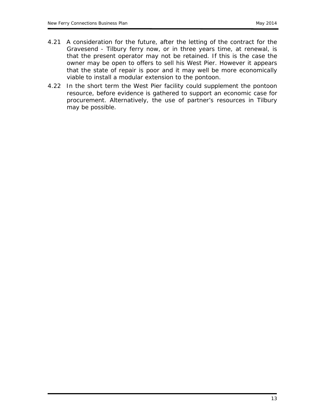- 4.21 A consideration for the future, after the letting of the contract for the Gravesend - Tilbury ferry now, or in three years time, at renewal, is that the present operator may not be retained. If this is the case the owner may be open to offers to sell his West Pier. However it appears that the state of repair is poor and it may well be more economically viable to install a modular extension to the pontoon.
- 4.22 In the short term the West Pier facility could supplement the pontoon resource, before evidence is gathered to support an economic case for procurement. Alternatively, the use of partner's resources in Tilbury may be possible.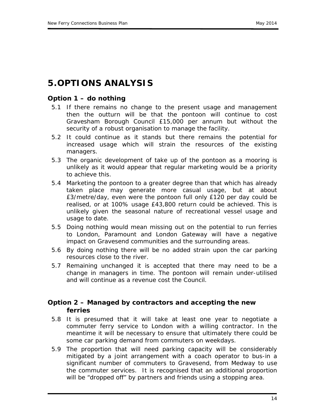# **5.OPTIONS ANALYSIS**

### *Option 1 – do nothing*

- 5.1 If there remains no change to the present usage and management then the outturn will be that the pontoon will continue to cost Gravesham Borough Council £15,000 per annum but without the security of a robust organisation to manage the facility.
- 5.2 It could continue as it stands but there remains the potential for increased usage which will strain the resources of the existing managers.
- 5.3 The organic development of take up of the pontoon as a mooring is unlikely as it would appear that regular marketing would be a priority to achieve this.
- 5.4 Marketing the pontoon to a greater degree than that which has already taken place may generate more casual usage, but at about £3/metre/day, even were the pontoon full only £120 per day could be realised, or at 100% usage £43,800 return could be achieved. This is unlikely given the seasonal nature of recreational vessel usage and usage to date.
- 5.5 Doing nothing would mean missing out on the potential to run ferries to London, Paramount and London Gateway will have a negative impact on Gravesend communities and the surrounding areas.
- 5.6 By doing nothing there will be no added strain upon the car parking resources close to the river.
- 5.7 Remaining unchanged it is accepted that there may need to be a change in managers in time. The pontoon will remain under-utilised and will continue as a revenue cost the Council.

### *Option 2 – Managed by contractors and accepting the new ferries*

- 5.8 It is presumed that it will take at least one year to negotiate a commuter ferry service to London with a willing contractor. In the meantime it will be necessary to ensure that ultimately there could be some car parking demand from commuters on weekdays.
- 5.9 The proportion that will need parking capacity will be considerably mitigated by a joint arrangement with a coach operator to bus-in a significant number of commuters to Gravesend, from Medway to use the commuter services. It is recognised that an additional proportion will be "dropped off" by partners and friends using a stopping area.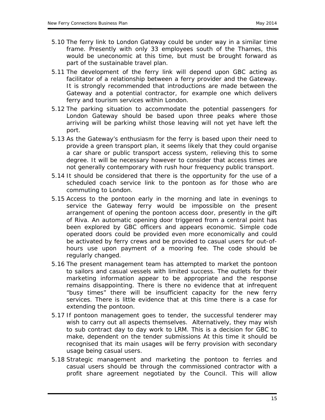- 5.10 The ferry link to London Gateway could be under way in a similar time frame. Presently with only 33 employees south of the Thames, this would be uneconomic at this time, but must be brought forward as part of the sustainable travel plan.
- 5.11 The development of the ferry link will depend upon GBC acting as facilitator of a relationship between a ferry provider and the Gateway. It is strongly recommended that introductions are made between the Gateway and a potential contractor, for example one which delivers ferry and tourism services within London.
- 5.12 The parking situation to accommodate the potential passengers for London Gateway should be based upon three peaks where those arriving will be parking whilst those leaving will not yet have left the port.
- 5.13 As the Gateway's enthusiasm for the ferry is based upon their need to provide a green transport plan, it seems likely that they could organise a car share or public transport access system, relieving this to some degree. It will be necessary however to consider that access times are not generally contemporary with rush hour frequency public transport.
- 5.14 It should be considered that there is the opportunity for the use of a scheduled coach service link to the pontoon as for those who are commuting to London.
- 5.15 Access to the pontoon early in the morning and late in evenings to service the Gateway ferry would be impossible on the present arrangement of opening the pontoon access door, presently in the gift of Riva. An automatic opening door triggered from a central point has been explored by GBC officers and appears economic. Simple code operated doors could be provided even more economically and could be activated by ferry crews and be provided to casual users for out-ofhours use upon payment of a mooring fee. The code should be regularly changed.
- 5.16 The present management team has attempted to market the pontoon to sailors and casual vessels with limited success. The outlets for their marketing information appear to be appropriate and the response remains disappointing. There is there no evidence that at infrequent "busy times" there will be insufficient capacity for the new ferry services. There is little evidence that at this time there is a case for extending the pontoon.
- 5.17 If pontoon management goes to tender, the successful tenderer may wish to carry out all aspects themselves. Alternatively, they may wish to sub contract day to day work to LRM. This is a decision for GBC to make, dependent on the tender submissions At this time it should be recognised that its main usages will be ferry provision with secondary usage being casual users.
- 5.18 Strategic management and marketing the pontoon to ferries and casual users should be through the commissioned contractor with a profit share agreement negotiated by the Council. This will allow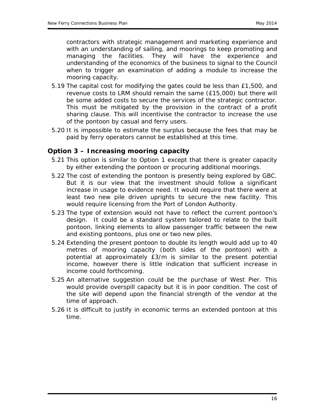contractors with strategic management and marketing experience and with an understanding of sailing, and moorings to keep promoting and managing the facilities. They will have the experience and understanding of the economics of the business to signal to the Council when to trigger an examination of adding a module to increase the mooring capacity.

- 5.19 The capital cost for modifying the gates could be less than £1,500, and revenue costs to LRM should remain the same (£15,000) but there will be some added costs to secure the services of the strategic contractor. This must be mitigated by the provision in the contract of a profit sharing clause. This will incentivise the contractor to increase the use of the pontoon by casual and ferry users.
- 5.20 It is impossible to estimate the surplus because the fees that may be paid by ferry operators cannot be established at this time.

#### *Option 3 – Increasing mooring capacity*

- 5.21 This option is similar to Option 1 except that there is greater capacity by either extending the pontoon or procuring additional moorings.
- 5.22 The cost of extending the pontoon is presently being explored by GBC. But it is our view that the investment should follow a significant increase in usage to evidence need. It would require that there were at least two new pile driven uprights to secure the new facility. This would require licensing from the Port of London Authority.
- 5.23 The type of extension would not have to reflect the current pontoon's design. It could be a standard system tailored to relate to the built pontoon, linking elements to allow passenger traffic between the new and existing pontoons, plus one or two new piles.
- 5.24 Extending the present pontoon to double its length would add up to 40 metres of mooring capacity (both sides of the pontoon) with a potential at approximately £3/m is similar to the present potential income, however there is little indication that sufficient increase in income could forthcoming.
- 5.25 An alternative suggestion could be the purchase of West Pier. This would provide overspill capacity but it is in poor condition. The cost of the site will depend upon the financial strength of the vendor at the time of approach.
- 5.26 It is difficult to justify in economic terms an extended pontoon at this time.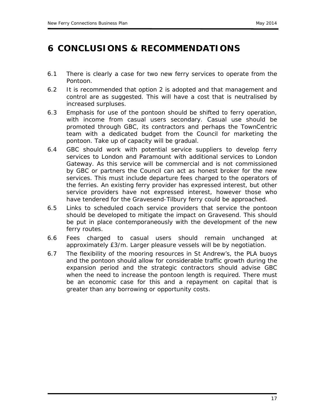# **6 CONCLUSIONS & RECOMMENDATIONS**

- 6.1 There is clearly a case for two new ferry services to operate from the Pontoon.
- 6.2 It is recommended that option 2 is adopted and that management and control are as suggested. This will have a cost that is neutralised by increased surpluses.
- 6.3 Emphasis for use of the pontoon should be shifted to ferry operation, with income from casual users secondary. Casual use should be promoted through GBC, its contractors and perhaps the TownCentric team with a dedicated budget from the Council for marketing the pontoon. Take up of capacity will be gradual.
- 6.4 GBC should work with potential service suppliers to develop ferry services to London and Paramount with additional services to London Gateway. As this service will be commercial and is not commissioned by GBC or partners the Council can act as honest broker for the new services. This must include departure fees charged to the operators of the ferries. An existing ferry provider has expressed interest, but other service providers have not expressed interest, however those who have tendered for the Gravesend-Tilbury ferry could be approached.
- 6.5 Links to scheduled coach service providers that service the pontoon should be developed to mitigate the impact on Gravesend. This should be put in place contemporaneously with the development of the new ferry routes.
- 6.6 Fees charged to casual users should remain unchanged at approximately £3/m. Larger pleasure vessels will be by negotiation.
- 6.7 The flexibility of the mooring resources in St Andrew's, the PLA buoys and the pontoon should allow for considerable traffic growth during the expansion period and the strategic contractors should advise GBC when the need to increase the pontoon length is required. There must be an economic case for this and a repayment on capital that is greater than any borrowing or opportunity costs.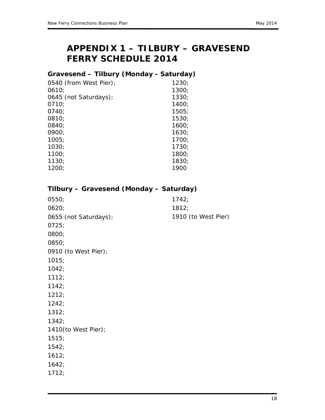# **APPENDIX 1 – TILBURY – GRAVESEND FERRY SCHEDULE 2014**

### *Gravesend – Tilbury (Monday - Saturday)*

| 0540 (from West Pier); | 1230: |
|------------------------|-------|
| 0610;                  | 1300: |
| 0645 (not Saturdays);  | 1330; |
| 0710;                  | 1400: |
| 0740;                  | 1505; |
| 0810;                  | 1530: |
| 0840;                  | 1600: |
| 0900:                  | 1630: |
| 1005:                  | 1700: |
| 1030;                  | 1730: |
| 1100;                  | 1800; |
| 1130:                  | 1830: |
| 1200:                  | 1900  |
|                        |       |

| Tilbury - Gravesend (Monday - Saturday) |                     |
|-----------------------------------------|---------------------|
| 0550;                                   | 1742;               |
| 0620;                                   | 1812;               |
| 0655 (not Saturdays);                   | 1910 (to West Pier) |
| 0725;                                   |                     |
| 0800;                                   |                     |
| 0850;                                   |                     |
| 0910 (to West Pier);                    |                     |
| 1015;                                   |                     |
| 1042;                                   |                     |
| 1112;                                   |                     |
| 1142;                                   |                     |
| 1212;                                   |                     |
| 1242;                                   |                     |
| 1312;                                   |                     |
| 1342;                                   |                     |
| 1410(to West Pier);                     |                     |
| 1515;                                   |                     |
| 1542;                                   |                     |
| 1612;                                   |                     |
| 1642;                                   |                     |
| 1712;                                   |                     |
|                                         |                     |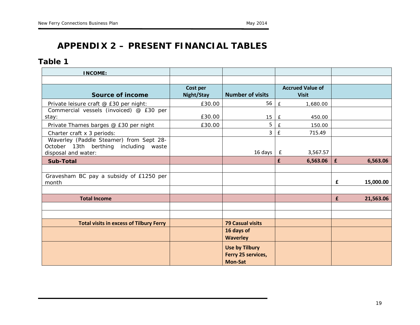# **APPENDIX 2 – PRESENT FINANCIAL TABLES**

### *Table 1*

| <b>INCOME:</b>                                                                                          |                        |                                                               |                    |                                         |   |           |
|---------------------------------------------------------------------------------------------------------|------------------------|---------------------------------------------------------------|--------------------|-----------------------------------------|---|-----------|
|                                                                                                         |                        |                                                               |                    |                                         |   |           |
| Source of income                                                                                        | Cost per<br>Night/Stay | <b>Number of visits</b>                                       |                    | <b>Accrued Value of</b><br><b>Visit</b> |   |           |
| Private leisure craft @ £30 per night:                                                                  | £30.00                 | 56                                                            | E                  | 1,680.00                                |   |           |
| Commercial vessels (invoiced) @ £30 per<br>stay:                                                        | £30.00                 | 15                                                            | E                  | 450.00                                  |   |           |
| Private Thames barges @ £30 per night                                                                   | £30.00                 | 5                                                             | £                  | 150.00                                  |   |           |
| Charter craft x 3 periods:                                                                              |                        | 3                                                             | $\pmb{\mathsf{f}}$ | 715.49                                  |   |           |
| Waverley (Paddle Steamer) from Sept 28-<br>October 13th berthing including waste<br>disposal and water: |                        | 16 days                                                       | $\mathbf{f}$       | 3,567.57                                |   |           |
| <b>Sub-Total</b>                                                                                        |                        |                                                               | £                  | 6,563.06   £                            |   | 6,563.06  |
|                                                                                                         |                        |                                                               |                    |                                         |   |           |
| Gravesham BC pay a subsidy of £1250 per<br>month                                                        |                        |                                                               |                    |                                         | £ | 15,000.00 |
|                                                                                                         |                        |                                                               |                    |                                         |   |           |
| <b>Total Income</b>                                                                                     |                        |                                                               |                    |                                         | £ | 21,563.06 |
|                                                                                                         |                        |                                                               |                    |                                         |   |           |
|                                                                                                         |                        |                                                               |                    |                                         |   |           |
| <b>Total visits in excess of Tilbury Ferry</b>                                                          |                        | <b>79 Casual visits</b>                                       |                    |                                         |   |           |
|                                                                                                         |                        | 16 days of<br><b>Waverley</b>                                 |                    |                                         |   |           |
|                                                                                                         |                        | <b>Use by Tilbury</b><br>Ferry 25 services,<br><b>Mon-Sat</b> |                    |                                         |   |           |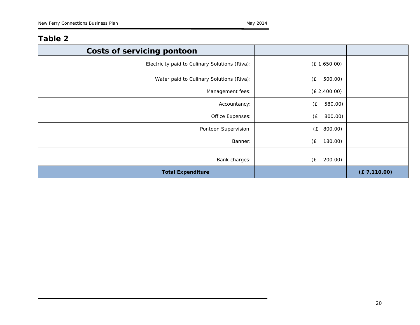### *Table 2*

| <b>Costs of servicing pontoon</b>              |                |               |
|------------------------------------------------|----------------|---------------|
| Electricity paid to Culinary Solutions (Riva): | (E 1,650.00)   |               |
| Water paid to Culinary Solutions (Riva):       | 500.00)<br>(£  |               |
| Management fees:                               | (E 2,400.00)   |               |
| Accountancy:                                   | (£<br>580.00)  |               |
| Office Expenses:                               | (£<br>800.00)  |               |
| Pontoon Supervision:                           | (E 800.00)     |               |
| Banner:                                        | (E)<br>180.00) |               |
| Bank charges:                                  | (E)<br>200.00) |               |
| <b>Total Expenditure</b>                       |                | (E 7, 110.00) |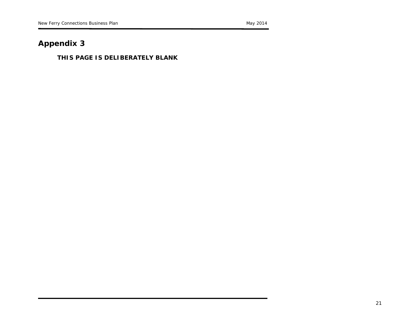# **Appendix 3**

#### **THIS PAGE IS DELIBERATELY BLANK**